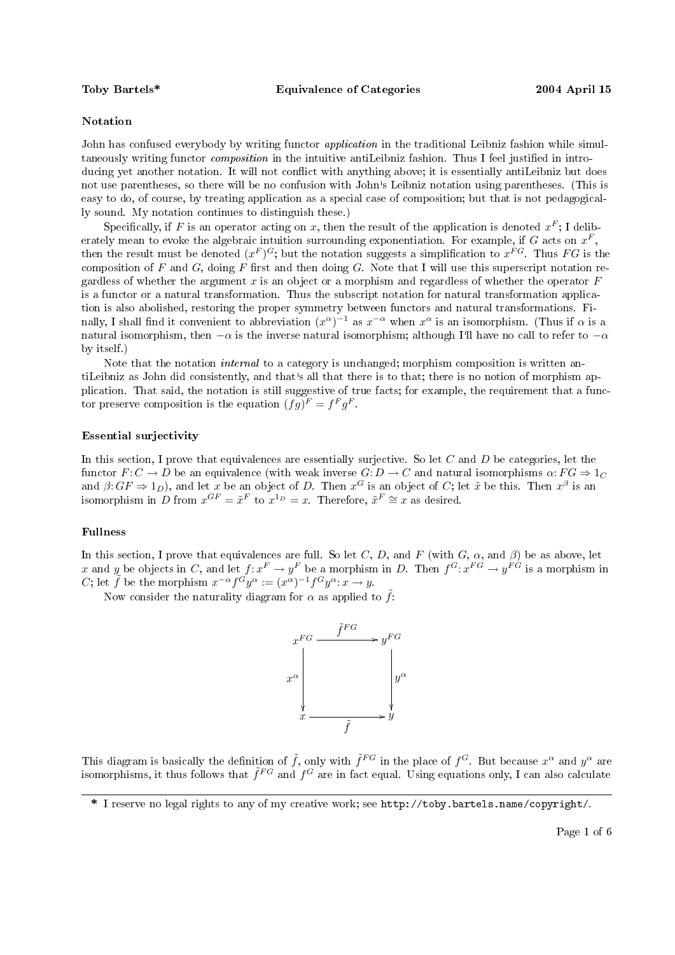## Notation

John has confused everybody by writing functor *application* in the traditional Leibniz fashion while simultaneously writing functor *composition* in the intuitive antiLeibniz fashion. Thus I feel justified in introducing yet another notation. It will not conflict with anything above; it is essentially antiLeibniz but does not use parentheses, so there will be no confusion with John's Leibniz notation using parentheses. (This is easy to do, of course, by treating application as a special case of composition; but that is not pedagogically sound. My notation continues to distinguish these.)

Specifically, if F is an operator acting on x, then the result of the application is denoted  $x^F$ ; I deliberately mean to evoke the algebraic intuition surrounding exponentiation. For example, if G acts on  $x^F$ , then the result must be denoted  $(x^F)^G$ ; but the notation suggests a simplification to  $x^{FG}$ . Thus  $FG$  is the composition of F and G, doing F first and then doing G. Note that I will use this superscript notation regardless of whether the argument  $x$  is an object or a morphism and regardless of whether the operator  $F$ is a functor or a natural transformation. Thus the subscript notation for natural transformation application is also abolished, restoring the proper symmetry between functors and natural transformations. Finally, I shall find it convenient to abbreviation  $(x^{\alpha})^{-1}$  as  $x^{-\alpha}$  when  $x^{\alpha}$  is an isomorphism. (Thus if  $\alpha$  is a natural isomorphism, then  $-\alpha$  is the inverse natural isomorphism; although I'll have no call to refer to  $-\alpha$ by itself.)

Note that the notation *internal* to a category is unchanged; morphism composition is written antiLeibniz as John did consistently, and that s all that there is to that; there is no notion of morphism application. That said, the notation is still suggestive of true facts; for example, the requirement that a functor preserve composition is the equation  $(fg)^F = f^F g^F$ .

## Essential surjectivity

In this section, I prove that equivalences are essentially surjective. So let  $C$  and  $D$  be categories, let the functor  $F: C \to D$  be an equivalence (with weak inverse  $G: D \to C$  and natural isomorphisms  $\alpha: FG \to 1_C$ and  $\beta$ :  $GF \Rightarrow 1_D$ ), and let x be an object of D. Then  $x^G$  is an object of C; let  $\tilde{x}$  be this. Then  $x^{\beta}$  is an isomorphism in D from  $x^{GF} = \tilde{x}^F$  to  $x^{1_D} = x$ . Therefore,  $\tilde{x}^F \cong x$  as desired.

# Fullness

In this section, I prove that equivalences are full. So let C, D, and F (with  $G$ ,  $\alpha$ , and  $\beta$ ) be as above, let x and y be objects in C, and let  $f: x^F \to y^F$  be a morphism in D. Then  $f^G: x^{FG} \to y^{FG}$  is a morphism in C; let  $\tilde{f}$  be the morphism  $x^{-\alpha} f^{G} y^{\alpha} := (x^{\alpha})^{-1} f^{G} y^{\alpha} : x \to y$ .

Now consider the naturality diagram for  $\alpha$  as applied to  $\tilde{f}$ :



This diagram is basically the definition of  $\tilde{f}$ , only with  $\tilde{f}^{FG}$  in the place of  $f^G$ . But because  $x^{\alpha}$  and  $y^{\alpha}$  are isomorphisms, it thus follows that  $\tilde{f}^{FG}$  and  $f^G$  are in fact equal. Using equations only, I can also calculate

<sup>\*</sup> I reserve no legal rights to any of my creative work; see http://toby.bartels.name/copyright/.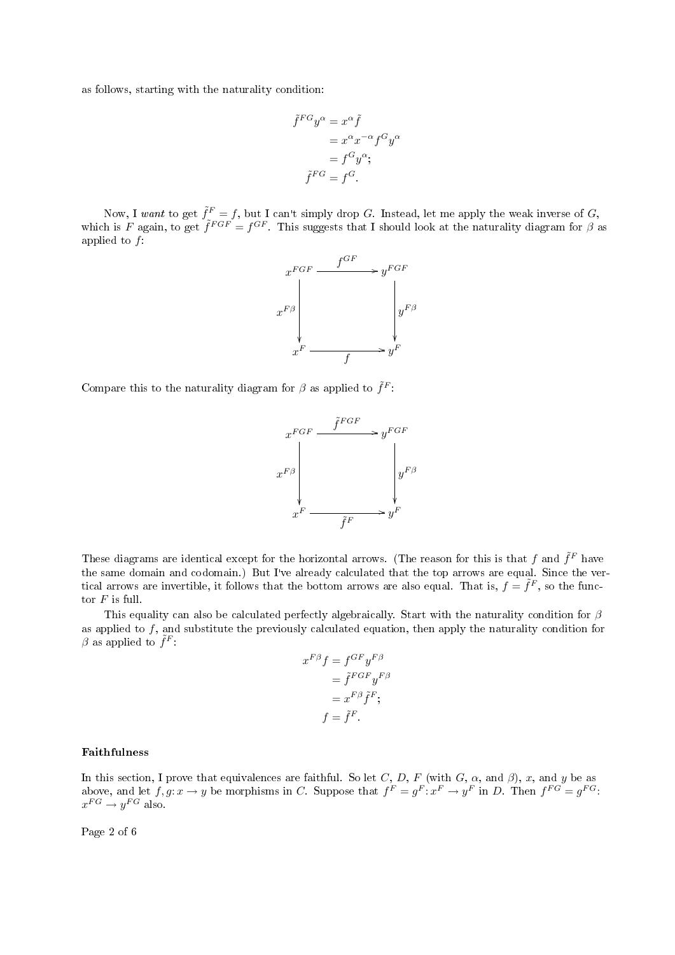as follows, starting with the naturality condition:

$$
\tilde{f}^{FG}y^{\alpha} = x^{\alpha}\tilde{f}
$$

$$
= x^{\alpha}x^{-\alpha}f^{G}y^{\alpha}
$$

$$
= f^{G}y^{\alpha};
$$

$$
\tilde{f}^{FG} = f^{G}.
$$

Now, I want to get  $\tilde{f}^F = f$ , but I can't simply drop G. Instead, let me apply the weak inverse of G, which is F again, to get  $\tilde{f}^{FGF} = f^{GF}$ . This suggests that I should look at the naturality diagram for  $\beta$  as applied to f:



Compare this to the naturality diagram for  $\beta$  as applied to  $\tilde{f}^F$ :



These diagrams are identical except for the horizontal arrows. (The reason for this is that f and  $\tilde{f}^F$  have the same domain and codomain.) But I ve already calculated that the top arrows are equal. Since the vertical arrows are invertible, it follows that the bottom arrows are also equal. That is,  $f = \tilde{f}^F,$  so the functor  $F$  is full.

This equality can also be calculated perfectly algebraically. Start with the naturality condition for  $\beta$ as applied to  $f$ , and substitute the previously calculated equation, then apply the naturality condition for  $\beta$  as applied to  $\tilde{f}^F$ .

$$
x^{F\beta} f = f^{GF} y^{F\beta}
$$

$$
= \tilde{f}^{FGF} y^{F\beta}
$$

$$
= x^{F\beta} \tilde{f}^F;
$$

$$
f = \tilde{f}^F.
$$

# Faithfulness

In this section, I prove that equivalences are faithful. So let C, D, F (with G,  $\alpha$ , and  $\beta$ ), x, and y be as above, and let  $f, g: x \to y$  be morphisms in C. Suppose that  $f^F = g^F: x^F \to y^F$  in D. Then  $f^{FG} = g^{FG}$ .  $x^{FG} \rightarrow y^{FG}$  also.

Page 2 of 6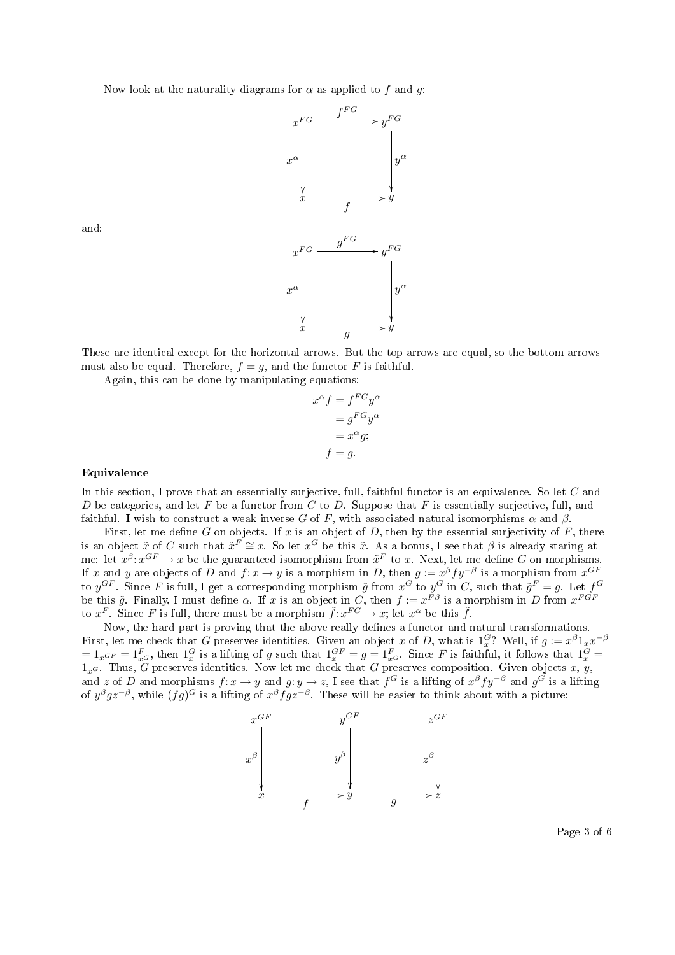Now look at the naturality diagrams for  $\alpha$  as applied to f and q.



and:

These are identical except for the horizontal arrows. But the top arrows are equal, so the bottom arrows must also be equal. Therefore,  $f = g$ , and the functor F is faithful.

Again, this can be done by manipulating equations:

$$
x^{\alpha} f = f^{FG} y^{\alpha}
$$

$$
= g^{FG} y^{\alpha}
$$

$$
= x^{\alpha} g;
$$

$$
f = g.
$$

### Equivalence

In this section, I prove that an essentially surjective, full, faithful functor is an equivalence. So let C and D be categories, and let F be a functor from C to D. Suppose that F is essentially surjective, full, and faithful. I wish to construct a weak inverse G of F, with associated natural isomorphisms  $\alpha$  and  $\beta$ .

First, let me define G on objects. If x is an object of D, then by the essential surjectivity of F, there is an object  $\tilde{x}$  of C such that  $\tilde{x}^F \cong x$ . So let  $x^G$  be this  $\tilde{x}$ . As a bonus, I see that  $\beta$  is already staring at me: let  $x^{\beta}: x^{GF} \to x$  be the guaranteed isomorphism from  $\tilde{x}^{F}$  to x. Next, let me define G on morphisms. If x and y are objects of D and  $f: x \to y$  is a morphism in D, then  $g := x^{\beta} f y^{-\beta}$  is a morphism from  $x^{GF}$ to  $y^{GF}$ . Since F is full, I get a corresponding morphism  $\tilde{g}$  from  $x^G$  to  $y^G$  in C, such that  $\tilde{g}^F = g$ . Let  $f^G$ be this  $\tilde{g}$ . Finally, I must define  $\alpha$ . If x is an object in C, then  $f := x^{F\beta}$  is a morphism in D from  $x^{FGF}$ to  $x^F$ . Since F is full, there must be a morphism  $\tilde{f}: x^{FG} \to x$ ; let  $x^{\alpha}$  be this  $\tilde{f}$ .

Now, the hard part is proving that the above really defines a functor and natural transformations. First, let me check that G preserves identities. Given an object x of D, what is  $1_x^G$ ? Well, if  $g := x^{\beta} 1_x x^{-\beta}$  $=1_{x^{GF}}=1_{x^{G}}^{F}$ , then  $1_{x}^{G}$  is a lifting of g such that  $1_{x}^{GF}=g=1_{x^{G}}^{F}$ . Since F is faithful, it follows that  $1_{x}^{G}=$  $1_x$ G. Thus, G preserves identities. Now let me check that G preserves composition. Given objects x, y, and z of D and morphisms  $f: x \to y$  and  $g: y \to z$ , I see that  $f^G$  is a lifting of  $x^{\beta} f y^{-\beta}$  and  $g^G$  is a lifting of  $y^{\beta}gz^{-\beta}$ , while  $(fg)^G$  is a lifting of  $x^{\beta}fgz^{-\beta}$ . These will be easier to think about with a picture:



Page 3 of 6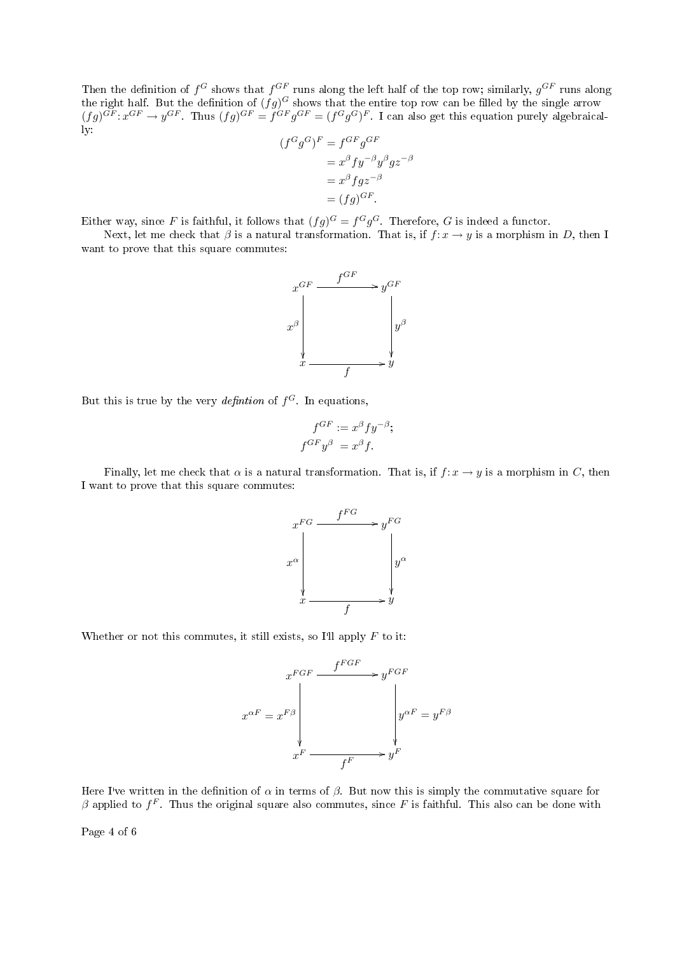Then the definition of  $f^G$  shows that  $f^{GF}$  runs along the left half of the top row; similarly,  $g^{GF}$  runs along the right half. But the definition of  $(fg)^G$  shows that the entire top row can be filled by the single arrow  $(fg)^{GF}:x^{GF}\to y^{GF}$ . Thus  $(fg)^{GF}=f^{GF}g^{GF}=(f^{G}g^{G})^{F}$ . I can also get this equation purely algebraically:

$$
(fGgG)F = fGFgGF
$$
  
=  $x^{\beta} f y^{-\beta} y^{\beta} g z^{-\beta}$   
=  $x^{\beta} f g z^{-\beta}$   
=  $(fg)^{GF}$ .

Either way, since F is faithful, it follows that  $(fg)^G = f^G g^G$ . Therefore, G is indeed a functor.

Next, let me check that  $\beta$  is a natural transformation. That is, if  $f: x \to y$  is a morphism in D, then I want to prove that this square commutes:



But this is true by the very *definition* of  $f^G$ . In equations,

$$
f^{GF} := x^{\beta} f y^{-\beta};
$$
  

$$
f^{GF} y^{\beta} = x^{\beta} f
$$

Finally, let me check that  $\alpha$  is a natural transformation. That is, if  $f: x \to y$  is a morphism in C, then I want to prove that this square commutes:



Whether or not this commutes, it still exists, so I'll apply  $F$  to it:

$$
x^{FGF} \xrightarrow{f^{FGF}} y^{FGF}
$$

$$
x^{\alpha F} = x^{F\beta}
$$

$$
x^{F} \xrightarrow{f^{F}} y^{F}
$$

Here I've written in the definition of  $\alpha$  in terms of  $\beta$ . But now this is simply the commutative square for  $\beta$  applied to  $f^F$ . Thus the original square also commutes, since F is faithful. This also can be done with

Page 4 of 6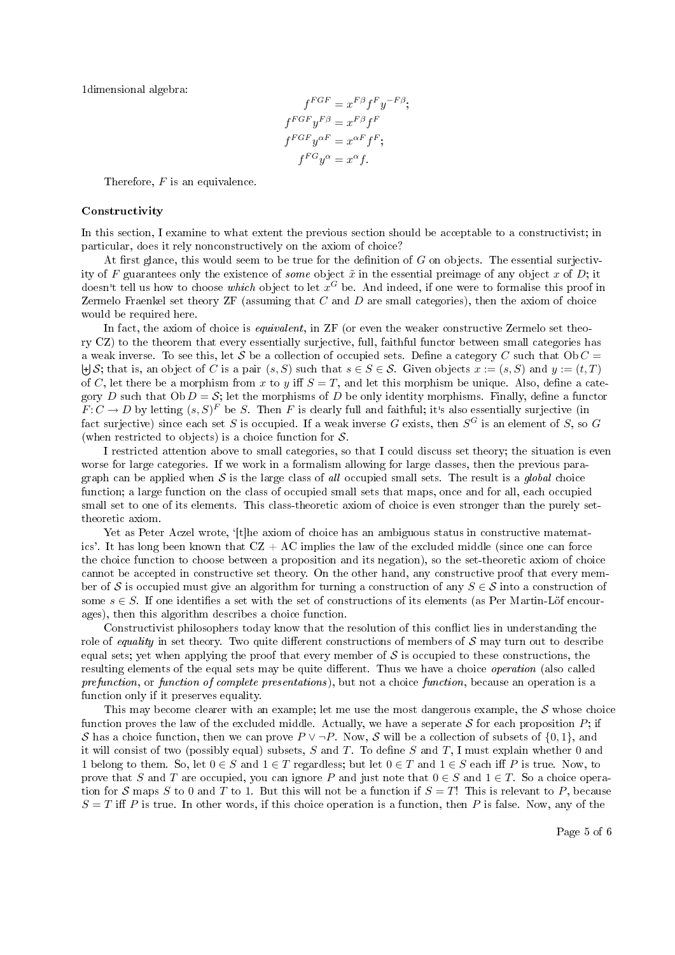1dimensional algebra:

$$
f^{FGF} = x^{F\beta} f^F y^{-F\beta};
$$
  
\n
$$
f^{FGF} y^{F\beta} = x^{F\beta} f^F
$$
  
\n
$$
f^{FGF} y^{\alpha F} = x^{\alpha F} f^F;
$$
  
\n
$$
f^{FG} y^{\alpha} = x^{\alpha} f.
$$

Therefore,  $F$  is an equivalence.

#### Constructivity

In this section, I examine to what extent the previous section should be acceptable to a constructivist; in particular, does it rely nonconstructively on the axiom of choice?

At first glance, this would seem to be true for the definition of  $G$  on objects. The essential surjectivity of F guarantees only the existence of *some* object  $\tilde{x}$  in the essential preimage of any object x of D; it doesn't tell us how to choose which object to let  $x^G$  be. And indeed, if one were to formalise this proof in Zermelo Fraenkel set theory  $ZF$  (assuming that  $C$  and  $D$  are small categories), then the axiom of choice would be required here.

In fact, the axiom of choice is *equivalent*, in ZF (or even the weaker constructive Zermelo set theory CZ) to the theorem that every essentially surjective, full, faithful functor between small categories has a weak inverse. To see this, let S be a collection of occupied sets. Define a category C such that  $Ob C =$  $\biguplus \mathcal{S}$ ; that is, an object of C is a pair  $(s, S)$  such that  $s \in S \in \mathcal{S}$ . Given objects  $x := (s, S)$  and  $y := (t, T)$ of C, let there be a morphism from x to y iff  $S = T$ , and let this morphism be unique. Also, define a category D such that  $Ob D = S$ ; let the morphisms of D be only identity morphisms. Finally, define a functor  $F: C \to D$  by letting  $(s, S)^F$  be S. Then F is clearly full and faithful; it's also essentially surjective (in fact surjective) since each set S is occupied. If a weak inverse G exists, then  $S^G$  is an element of S, so G (when restricted to objects) is a choice function for  $S$ .

I restricted attention above to small categories, so that I could discuss set theory; the situation is even worse for large categories. If we work in a formalism allowing for large classes, then the previous paragraph can be applied when  $S$  is the large class of all occupied small sets. The result is a global choice function; a large function on the class of occupied small sets that maps, once and for all, each occupied small set to one of its elements. This class-theoretic axiom of choice is even stronger than the purely settheoretic axiom.

Yet as Peter Aczel wrote, '[t]he axiom of choice has an ambiguous status in constructive matematics'. It has long been known that  $CZ + AC$  implies the law of the excluded middle (since one can force the choice function to choose between a proposition and its negation), so the set-theoretic axiom of choice cannot be accepted in constructive set theory. On the other hand, any constructive proof that every member of S is occupied must give an algorithm for turning a construction of any  $S \in S$  into a construction of some  $s \in S$ . If one identifies a set with the set of constructions of its elements (as Per Martin-Löf encourages), then this algorithm describes a choice function.

Constructivist philosophers today know that the resolution of this conflict lies in understanding the role of equality in set theory. Two quite different constructions of members of  $S$  may turn out to describe equal sets; yet when applying the proof that every member of  $\mathcal S$  is occupied to these constructions, the resulting elements of the equal sets may be quite different. Thus we have a choice *operation* (also called prefunction, or function of complete presentations), but not a choice function, because an operation is a function only if it preserves equality.

This may become clearer with an example; let me use the most dangerous example, the  $\mathcal S$  whose choice function proves the law of the excluded middle. Actually, we have a seperate S for each proposition  $P$ ; if S has a choice function, then we can prove  $P \vee \neg P$ . Now, S will be a collection of subsets of  $\{0, 1\}$ , and it will consist of two (possibly equal) subsets, S and T. To define S and T, I must explain whether 0 and 1 belong to them. So, let  $0 \in S$  and  $1 \in T$  regardless; but let  $0 \in T$  and  $1 \in S$  each iff P is true. Now, to prove that S and T are occupied, you can ignore P and just note that  $0 \in S$  and  $1 \in T$ . So a choice operation for S maps S to 0 and T to 1. But this will not be a function if  $S = T!$  This is relevant to P, because  $S = T$  iff P is true. In other words, if this choice operation is a function, then P is false. Now, any of the